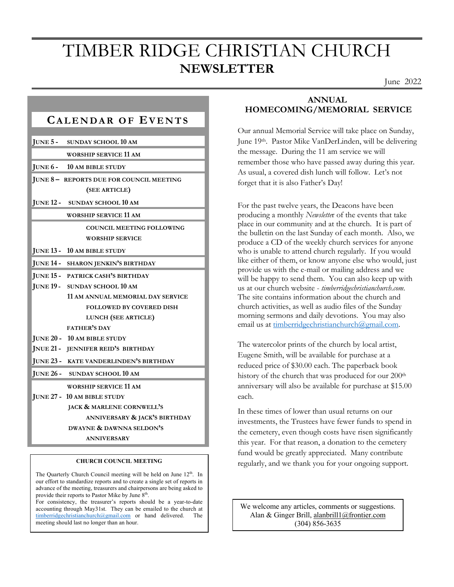## TIMBER RIDGE CHRISTIAN CHURCH **NEWSLETTER**

June 2022

| JUNE 5 -         | <b>SUNDAY SCHOOL 10 AM</b>               |
|------------------|------------------------------------------|
|                  | <b>WORSHIP SERVICE 11 AM</b>             |
| JUNE 6-          | <b>10 AM BIBLE STUDY</b>                 |
|                  | JUNE 8- REPORTS DUE FOR COUNCIL MEETING  |
|                  | (SEE ARTICLE)                            |
|                  | JUNE 12 - SUNDAY SCHOOL 10 AM            |
|                  | WORSHIP SERVICE 11 AM                    |
|                  | <b>COUNCIL MEETING FOLLOWING</b>         |
|                  | <b>WORSHIP SERVICE</b>                   |
| <b>JUNE 13 -</b> | <b>10 AM BIBLE STUDY</b>                 |
|                  | JUNE 14 - SHARON JENKIN'S BIRTHDAY       |
|                  | <b>JUNE 15 - PATRICK CASH'S BIRTHDAY</b> |
|                  | JUNE 19 - SUNDAY SCHOOL 10 AM            |
|                  | 11 AM ANNUAL MEMORIAL DAY SERVICE        |
|                  | <b>FOLLOWED BY COVERED DISH</b>          |
|                  | LUNCH (SEE ARTICLE)                      |
|                  | <b>FATHER'S DAY</b>                      |
|                  | JUNE 20 - 10 AM BIBLE STUDY              |
|                  | JNUE 21 - JENNIFER REID'S BIRTHDAY       |
| $JUNE 23 -$      | KATE VANDERLINDEN'S BIRTHDAY             |
|                  | JUNE 26 - SUNDAY SCHOOL 10 AM            |
|                  | <b>WORSHIP SERVICE 11 AM</b>             |
|                  | JUNE 27 - 10 AM BIBLE STUDY              |
|                  | JACK & MARLENE CORNWELL'S                |
|                  | ANNIVERSARY & JACK'S BIRTHDAY            |
|                  | DWAYNE & DAWNNA SELDON'S                 |

#### **CHURCH COUNCIL MEETING**

**ANNIVERSARY**

**JUNE 28 - NO BIBLE STUDY**

The Quarterly Church Council meeting will be held on June 12<sup>th</sup>. In our effort to standardize reports and to create a single set of reports in advance of the meeting, treasurers and chairpersons are being asked to provide their reports to Pastor Mike by June 8<sup>th</sup>.

For consistency, the treasurer's reports should be a year-to-date accounting through May31st. They can be emailed to the church at timberridgechristianchurch@gmail.com or hand delivered. The meeting should last no longer than an hour.

#### **ANNUAL HOMECOMING/MEMORIAL SERVICE**

Our annual Memorial Service will take place on Sunday, June 19th. Pastor Mike VanDerLinden, will be delivering the message. During the 11 am service we will remember those who have passed away during this year. As usual, a covered dish lunch will follow. Let's not forget that it is also Father's Day!

For the past twelve years, the Deacons have been producing a monthly *Newslette*r of the events that take place in our community and at the church. It is part of the bulletin on the last Sunday of each month. Also, we produce a CD of the weekly church services for anyone who is unable to attend church regularly. If you would like either of them, or know anyone else who would, just provide us with the e-mail or mailing address and we will be happy to send them. You can also keep up with us at our church website - *timberridgechristianchurch.com*. The site contains information about the church and church activities, as well as audio files of the Sunday morning sermons and daily devotions. You may also email us at timberridgechristianchurch@gmail.com.

The watercolor prints of the church by local artist, Eugene Smith, will be available for purchase at a reduced price of \$30.00 each. The paperback book history of the church that was produced for our 200<sup>th</sup> anniversary will also be available for purchase at \$15.00 each.

In these times of lower than usual returns on our investments, the Trustees have fewer funds to spend in the cemetery, even though costs have risen significantly this year. For that reason, a donation to the cemetery fund would be greatly appreciated. Many contribute regularly, and we thank you for your ongoing support.

 We welcome any articles, comments or suggestions. Alan & Ginger Brill, alanbrill1@frontier.com (304) 856-3635